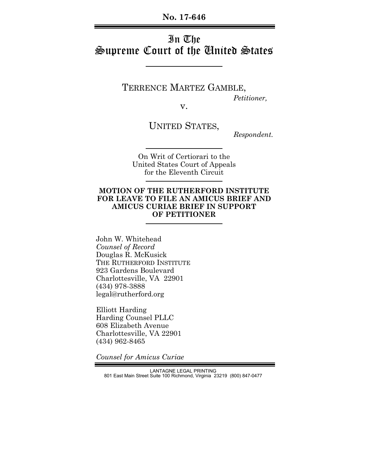**No. 17-646**

# In The Supreme Court of the United States

TERRENCE MARTEZ GAMBLE, *Petitioner,*

v.

UNITED STATES,

 *Respondent.*

On Writ of Certiorari to the United States Court of Appeals for the Eleventh Circuit

### **MOTION OF THE RUTHERFORD INSTITUTE FOR LEAVE TO FILE AN AMICUS BRIEF AND AMICUS CURIAE BRIEF IN SUPPORT OF PETITIONER**

John W. Whitehead *Counsel of Record*  Douglas R. McKusick THE RUTHERFORD INSTITUTE 923 Gardens Boulevard Charlottesville, VA 22901 (434) 978-3888 legal@rutherford.org

Elliott Harding Harding Counsel PLLC 608 Elizabeth Avenue Charlottesville, VA 22901 (434) 962-8465

*Counsel for Amicus Curiae*

LANTAGNE LEGAL PRINTING 801 East Main Street Suite 100 Richmond, Virginia 23219 (800) 847-0477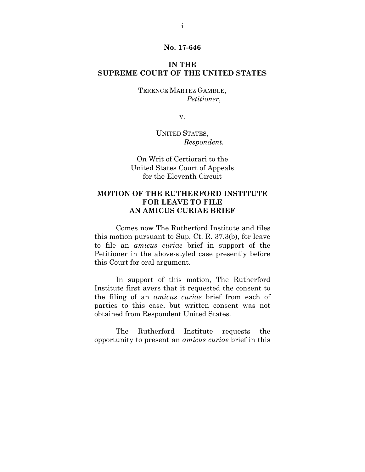#### **No. 17-646**

### **IN THE SUPREME COURT OF THE UNITED STATES**

TERENCE MARTEZ GAMBLE,  *Petitioner*,

v.

UNITED STATES, *Respondent.*

On Writ of Certiorari to the United States Court of Appeals for the Eleventh Circuit

## **MOTION OF THE RUTHERFORD INSTITUTE FOR LEAVE TO FILE AN AMICUS CURIAE BRIEF**

 Comes now The Rutherford Institute and files this motion pursuant to Sup. Ct. R. 37.3(b), for leave to file an *amicus curiae* brief in support of the Petitioner in the above-styled case presently before this Court for oral argument.

 In support of this motion, The Rutherford Institute first avers that it requested the consent to the filing of an *amicus curiae* brief from each of parties to this case, but written consent was not obtained from Respondent United States.

 The Rutherford Institute requests the opportunity to present an *amicus curiae* brief in this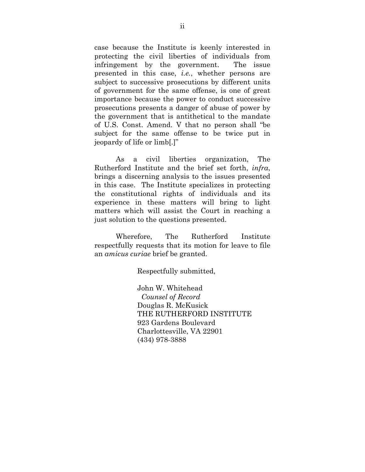case because the Institute is keenly interested in protecting the civil liberties of individuals from infringement by the government. The issue presented in this case, *i.e.*, whether persons are subject to successive prosecutions by different units of government for the same offense, is one of great importance because the power to conduct successive prosecutions presents a danger of abuse of power by the government that is antithetical to the mandate of U.S. Const. Amend. V that no person shall "be subject for the same offense to be twice put in jeopardy of life or limb[.]"

 As a civil liberties organization, The Rutherford Institute and the brief set forth, *infra*, brings a discerning analysis to the issues presented in this case. The Institute specializes in protecting the constitutional rights of individuals and its experience in these matters will bring to light matters which will assist the Court in reaching a just solution to the questions presented.

 Wherefore, The Rutherford Institute respectfully requests that its motion for leave to file an *amicus curiae* brief be granted.

Respectfully submitted,

 John W. Whitehead  *Counsel of Record*  Douglas R. McKusick THE RUTHERFORD INSTITUTE 923 Gardens Boulevard Charlottesville, VA 22901 (434) 978-3888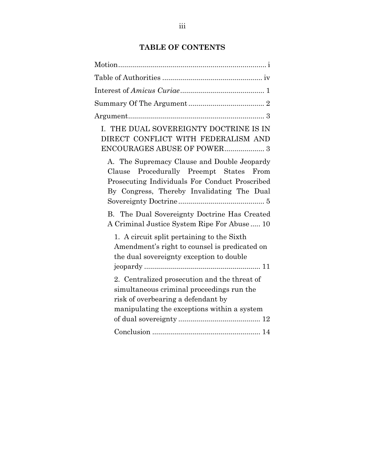# **TABLE OF CONTENTS**

| I. THE DUAL SOVEREIGNTY DOCTRINE IS IN<br>DIRECT CONFLICT WITH FEDERALISM AND                                                                                                                |
|----------------------------------------------------------------------------------------------------------------------------------------------------------------------------------------------|
| A. The Supremacy Clause and Double Jeopardy<br>Procedurally Preempt States<br>From<br>Clause<br>Prosecuting Individuals For Conduct Proscribed<br>By Congress, Thereby Invalidating The Dual |
| B. The Dual Sovereignty Doctrine Has Created<br>A Criminal Justice System Ripe For Abuse 10                                                                                                  |
| 1. A circuit split pertaining to the Sixth<br>Amendment's right to counsel is predicated on<br>the dual sovereignty exception to double                                                      |
| 2. Centralized prosecution and the threat of<br>simultaneous criminal proceedings run the<br>risk of overbearing a defendant by<br>manipulating the exceptions within a system               |
|                                                                                                                                                                                              |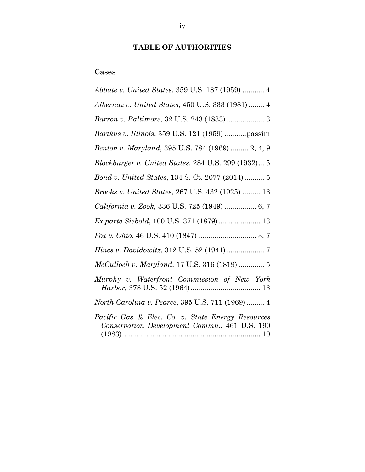# **TABLE OF AUTHORITIES**

# **Cases**

| Abbate v. United States, 359 U.S. 187 (1959)  4                                                    |
|----------------------------------------------------------------------------------------------------|
| Albernaz v. United States, 450 U.S. 333 (1981)  4                                                  |
| Barron v. Baltimore, 32 U.S. 243 (1833) 3                                                          |
| Bartkus v. Illinois, 359 U.S. 121 (1959)  passim                                                   |
| Benton v. Maryland, 395 U.S. 784 (1969)  2, 4, 9                                                   |
| Blockburger v. United States, 284 U.S. 299 (1932) 5                                                |
| Bond v. United States, 134 S. Ct. 2077 (2014) 5                                                    |
| Brooks v. United States, 267 U.S. 432 (1925)  13                                                   |
| California v. Zook, 336 U.S. 725 (1949)  6, 7                                                      |
| Ex parte Siebold, 100 U.S. 371 (1879) 13                                                           |
|                                                                                                    |
|                                                                                                    |
| McCulloch v. Maryland, 17 U.S. 316 (1819)  5                                                       |
| Murphy v. Waterfront Commission of New York                                                        |
| North Carolina v. Pearce, 395 U.S. 711 (1969) 4                                                    |
| Pacific Gas & Elec. Co. v. State Energy Resources<br>Conservation Development Commn., 461 U.S. 190 |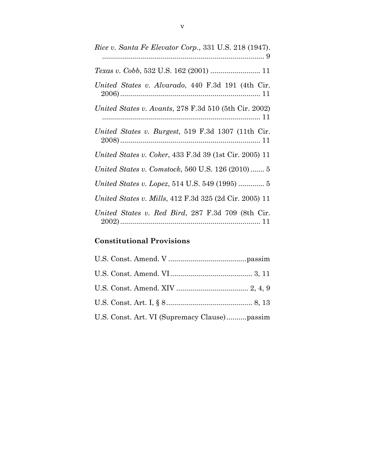| Rice v. Santa Fe Elevator Corp., 331 U.S. 218 (1947).         |
|---------------------------------------------------------------|
| Texas v. Cobb, 532 U.S. 162 (2001)  11                        |
| United States v. Alvarado, 440 F.3d 191 (4th Cir.             |
| United States v. Avants, 278 F.3d 510 (5th Cir. 2002)         |
| United States v. Burgest, 519 F.3d 1307 (11th Cir.            |
| <i>United States v. Coker, 433 F.3d 39 (1st Cir. 2005) 11</i> |
| United States v. Comstock, 560 U.S. 126 (2010) 5              |
|                                                               |
| United States v. Mills, 412 F.3d 325 (2d Cir. 2005) 11        |
| United States v. Red Bird, 287 F.3d 709 (8th Cir.             |

# **Constitutional Provisions**

| U.S. Const. Art. VI (Supremacy Clause)passim |
|----------------------------------------------|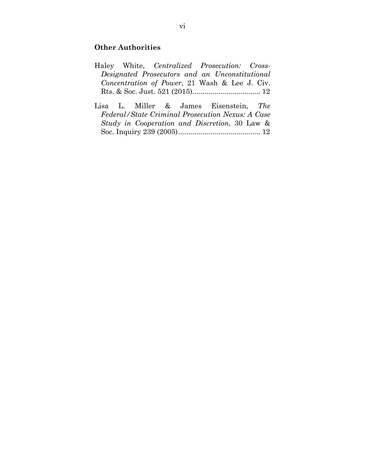# **Other Authorities**

|  | Haley White, Centralized Prosecution: Cross-   |  |  |  |
|--|------------------------------------------------|--|--|--|
|  | Designated Prosecutors and an Unconstitutional |  |  |  |
|  | Concentration of Power, 21 Wash & Lee J. Civ.  |  |  |  |
|  |                                                |  |  |  |

Lisa L. Miller & James Eisenstein, *The Federal/State Criminal Prosecution Nexus: A Case Study in Cooperation and Discretion*, 30 Law & Soc. Inquiry 239 (2005) ......................................... 12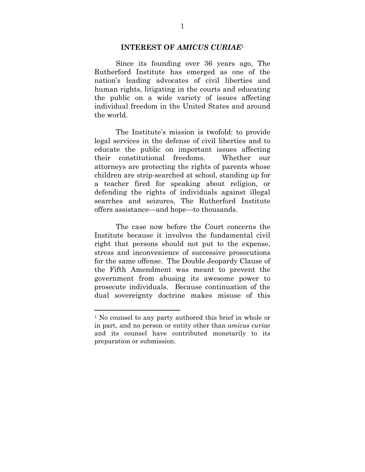#### **INTEREST OF** *AMICUS CURIAE*<sup>1</sup>

 Since its founding over 36 years ago, The Rutherford Institute has emerged as one of the nation's leading advocates of civil liberties and human rights, litigating in the courts and educating the public on a wide variety of issues affecting individual freedom in the United States and around the world.

The Institute's mission is twofold: to provide legal services in the defense of civil liberties and to educate the public on important issues affecting their constitutional freedoms. Whether our attorneys are protecting the rights of parents whose children are strip-searched at school, standing up for a teacher fired for speaking about religion, or defending the rights of individuals against illegal searches and seizures, The Rutherford Institute offers assistance—and hope—to thousands.

 The case now before the Court concerns the Institute because it involves the fundamental civil right that persons should not put to the expense, stress and inconvenience of successive prosecutions for the same offense. The Double Jeopardy Clause of the Fifth Amendment was meant to prevent the government from abusing its awesome power to prosecute individuals. Because continuation of the dual sovereignty doctrine makes misuse of this

<sup>1</sup> No counsel to any party authored this brief in whole or in part, and no person or entity other than *amicus curiae* and its counsel have contributed monetarily to its preparation or submission.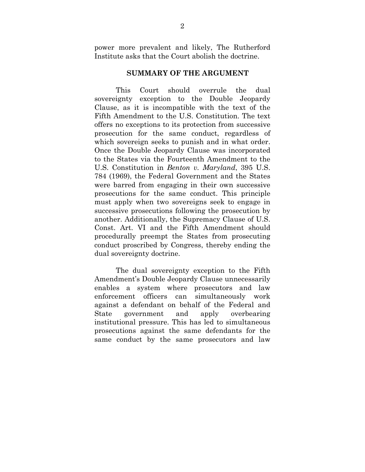power more prevalent and likely, The Rutherford Institute asks that the Court abolish the doctrine.

#### **SUMMARY OF THE ARGUMENT**

 This Court should overrule the dual sovereignty exception to the Double Jeopardy Clause, as it is incompatible with the text of the Fifth Amendment to the U.S. Constitution. The text offers no exceptions to its protection from successive prosecution for the same conduct, regardless of which sovereign seeks to punish and in what order. Once the Double Jeopardy Clause was incorporated to the States via the Fourteenth Amendment to the U.S. Constitution in *Benton v. Maryland*, 395 U.S. 784 (1969), the Federal Government and the States were barred from engaging in their own successive prosecutions for the same conduct. This principle must apply when two sovereigns seek to engage in successive prosecutions following the prosecution by another. Additionally, the Supremacy Clause of U.S. Const. Art. VI and the Fifth Amendment should procedurally preempt the States from prosecuting conduct proscribed by Congress, thereby ending the dual sovereignty doctrine.

 The dual sovereignty exception to the Fifth Amendment's Double Jeopardy Clause unnecessarily enables a system where prosecutors and law enforcement officers can simultaneously work against a defendant on behalf of the Federal and State government and apply overbearing institutional pressure. This has led to simultaneous prosecutions against the same defendants for the same conduct by the same prosecutors and law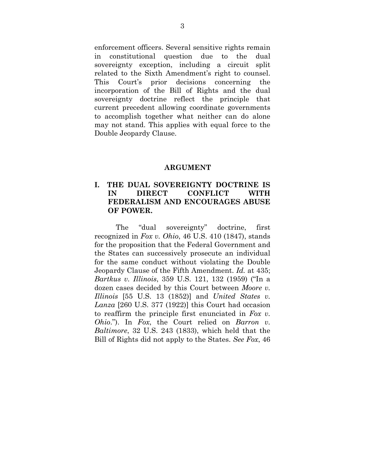enforcement officers. Several sensitive rights remain in constitutional question due to the dual sovereignty exception, including a circuit split related to the Sixth Amendment's right to counsel. This Court's prior decisions concerning the incorporation of the Bill of Rights and the dual sovereignty doctrine reflect the principle that current precedent allowing coordinate governments to accomplish together what neither can do alone may not stand. This applies with equal force to the Double Jeopardy Clause.

#### **ARGUMENT**

## **I. THE DUAL SOVEREIGNTY DOCTRINE IS IN DIRECT CONFLICT WITH FEDERALISM AND ENCOURAGES ABUSE OF POWER.**

 The "dual sovereignty" doctrine, first recognized in *Fox v. Ohio*, 46 U.S. 410 (1847), stands for the proposition that the Federal Government and the States can successively prosecute an individual for the same conduct without violating the Double Jeopardy Clause of the Fifth Amendment. *Id.* at 435; *Bartkus v. Illinois*, 359 U.S. 121, 132 (1959) ("In a dozen cases decided by this Court between *Moore v. Illinois* [55 U.S. 13 (1852)] and *United States v. Lanza* [260 U.S. 377 (1922)] this Court had occasion to reaffirm the principle first enunciated in *Fox v. Ohio*."). In *Fox*, the Court relied on *Barron v. Baltimore*, 32 U.S. 243 (1833), which held that the Bill of Rights did not apply to the States. *See Fox*, 46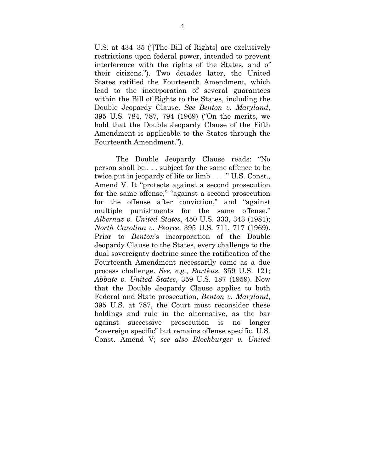U.S. at 434–35 ("[The Bill of Rights] are exclusively restrictions upon federal power, intended to prevent interference with the rights of the States, and of their citizens."). Two decades later, the United States ratified the Fourteenth Amendment, which lead to the incorporation of several guarantees within the Bill of Rights to the States, including the Double Jeopardy Clause. *See Benton v. Maryland*, 395 U.S. 784, 787, 794 (1969) ("On the merits, we hold that the Double Jeopardy Clause of the Fifth Amendment is applicable to the States through the Fourteenth Amendment.").

 The Double Jeopardy Clause reads: "No person shall be . . . subject for the same offence to be twice put in jeopardy of life or limb . . . ." U.S. Const., Amend V. It "protects against a second prosecution for the same offense," "against a second prosecution for the offense after conviction," and "against multiple punishments for the same offense." *Albernaz v. United States*, 450 U.S. 333, 343 (1981); *North Carolina v. Pearce*, 395 U.S. 711, 717 (1969). Prior to *Benton*'s incorporation of the Double Jeopardy Clause to the States, every challenge to the dual sovereignty doctrine since the ratification of the Fourteenth Amendment necessarily came as a due process challenge. *See, e.g.*, *Bartkus*, 359 U.S. 121; *Abbate v. United States*, 359 U.S. 187 (1959). Now that the Double Jeopardy Clause applies to both Federal and State prosecution, *Benton v. Maryland*, 395 U.S. at 787, the Court must reconsider these holdings and rule in the alternative, as the bar against successive prosecution is no longer "sovereign specific" but remains offense specific. U.S. Const. Amend V; *see also Blockburger v. United*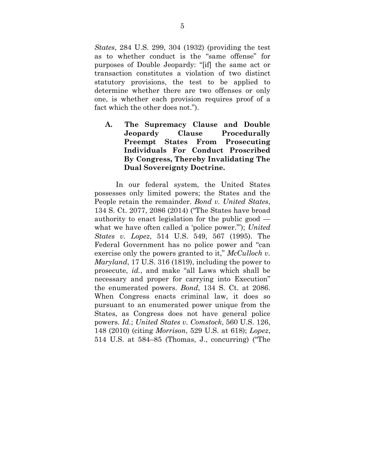*States*, 284 U.S. 299, 304 (1932) (providing the test as to whether conduct is the "same offense" for purposes of Double Jeopardy: "[if] the same act or transaction constitutes a violation of two distinct statutory provisions, the test to be applied to determine whether there are two offenses or only one, is whether each provision requires proof of a fact which the other does not.").

**A. The Supremacy Clause and Double Jeopardy Clause Procedurally Preempt States From Prosecuting Individuals For Conduct Proscribed By Congress, Thereby Invalidating The Dual Sovereignty Doctrine.** 

 In our federal system, the United States possesses only limited powers; the States and the People retain the remainder. *Bond v. United States*, 134 S. Ct. 2077, 2086 (2014) ("The States have broad authority to enact legislation for the public good what we have often called a 'police power.'"); *United States v. Lopez*, 514 U.S. 549, 567 (1995). The Federal Government has no police power and "can exercise only the powers granted to it," *McCulloch v. Maryland*, 17 U.S. 316 (1819), including the power to prosecute, *id.*, and make "all Laws which shall be necessary and proper for carrying into Execution" the enumerated powers. *Bond*, 134 S. Ct. at 2086. When Congress enacts criminal law, it does so pursuant to an enumerated power unique from the States, as Congress does not have general police powers. *Id.*; *United States v. Comstock*, 560 U.S. 126, 148 (2010) (citing *Morrison*, 529 U.S. at 618); *Lopez*, 514 U.S. at 584–85 (Thomas, J., concurring) ("The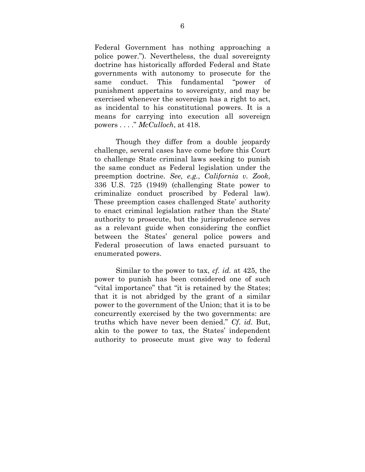Federal Government has nothing approaching a police power."). Nevertheless, the dual sovereignty doctrine has historically afforded Federal and State governments with autonomy to prosecute for the same conduct. This fundamental "power of punishment appertains to sovereignty, and may be exercised whenever the sovereign has a right to act, as incidental to his constitutional powers. It is a means for carrying into execution all sovereign powers . . . ." *McCulloch*, at 418.

 Though they differ from a double jeopardy challenge, several cases have come before this Court to challenge State criminal laws seeking to punish the same conduct as Federal legislation under the preemption doctrine. *See, e.g.*, *California v. Zook*, 336 U.S. 725 (1949) (challenging State power to criminalize conduct proscribed by Federal law). These preemption cases challenged State' authority to enact criminal legislation rather than the State' authority to prosecute, but the jurisprudence serves as a relevant guide when considering the conflict between the States' general police powers and Federal prosecution of laws enacted pursuant to enumerated powers.

 Similar to the power to tax, *cf. id.* at 425, the power to punish has been considered one of such "vital importance" that "it is retained by the States; that it is not abridged by the grant of a similar power to the government of the Union; that it is to be concurrently exercised by the two governments: are truths which have never been denied." *Cf*. *id*. But, akin to the power to tax, the States' independent authority to prosecute must give way to federal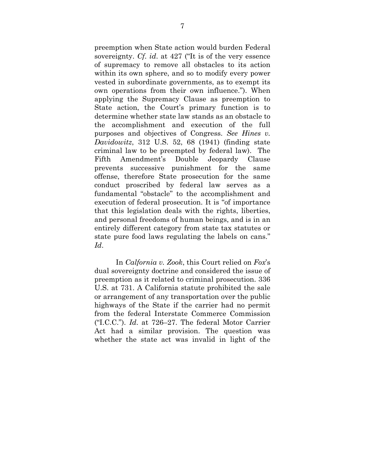preemption when State action would burden Federal sovereignty. *Cf*. *id*. at 427 ("It is of the very essence of supremacy to remove all obstacles to its action within its own sphere, and so to modify every power vested in subordinate governments, as to exempt its own operations from their own influence."). When applying the Supremacy Clause as preemption to State action, the Court's primary function is to determine whether state law stands as an obstacle to the accomplishment and execution of the full purposes and objectives of Congress. *See Hines v. Davidowitz*, 312 U.S. 52, 68 (1941) (finding state criminal law to be preempted by federal law). The Fifth Amendment's Double Jeopardy Clause prevents successive punishment for the same offense, therefore State prosecution for the same conduct proscribed by federal law serves as a fundamental "obstacle" to the accomplishment and execution of federal prosecution. It is "of importance that this legislation deals with the rights, liberties, and personal freedoms of human beings, and is in an entirely different category from state tax statutes or state pure food laws regulating the labels on cans." *Id*.

 In *Calfornia v. Zook*, this Court relied on *Fox*'s dual sovereignty doctrine and considered the issue of preemption as it related to criminal prosecution. 336 U.S. at 731. A California statute prohibited the sale or arrangement of any transportation over the public highways of the State if the carrier had no permit from the federal Interstate Commerce Commission ("I.C.C."). *Id*. at 726–27. The federal Motor Carrier Act had a similar provision. The question was whether the state act was invalid in light of the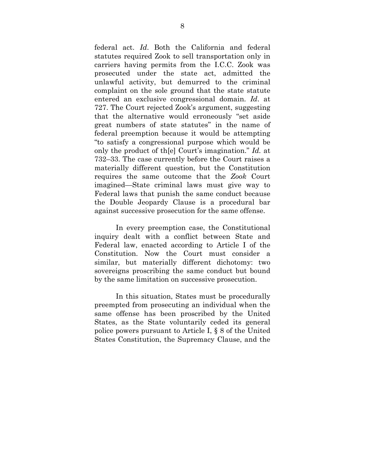federal act. *Id*. Both the California and federal statutes required Zook to sell transportation only in carriers having permits from the I.C.C. Zook was prosecuted under the state act, admitted the unlawful activity, but demurred to the criminal complaint on the sole ground that the state statute entered an exclusive congressional domain. *Id*. at 727. The Court rejected Zook's argument, suggesting that the alternative would erroneously "set aside great numbers of state statutes" in the name of federal preemption because it would be attempting "to satisfy a congressional purpose which would be only the product of th[e] Court's imagination." *Id.* at 732–33. The case currently before the Court raises a materially different question, but the Constitution requires the same outcome that the *Zook* Court imagined—State criminal laws must give way to Federal laws that punish the same conduct because the Double Jeopardy Clause is a procedural bar against successive prosecution for the same offense.

 In every preemption case, the Constitutional inquiry dealt with a conflict between State and Federal law, enacted according to Article I of the Constitution. Now the Court must consider a similar, but materially different dichotomy: two sovereigns proscribing the same conduct but bound by the same limitation on successive prosecution.

 In this situation, States must be procedurally preempted from prosecuting an individual when the same offense has been proscribed by the United States, as the State voluntarily ceded its general police powers pursuant to Article I, § 8 of the United States Constitution, the Supremacy Clause, and the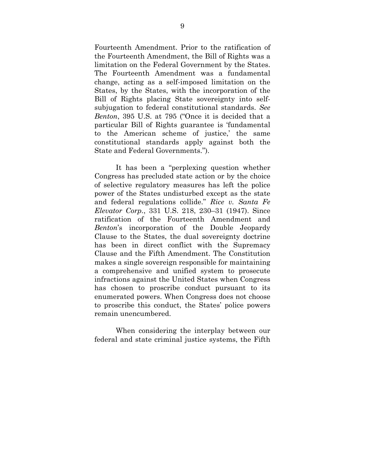Fourteenth Amendment. Prior to the ratification of the Fourteenth Amendment, the Bill of Rights was a limitation on the Federal Government by the States. The Fourteenth Amendment was a fundamental change, acting as a self-imposed limitation on the States, by the States, with the incorporation of the Bill of Rights placing State sovereignty into selfsubjugation to federal constitutional standards. *See Benton*, 395 U.S. at 795 ("Once it is decided that a particular Bill of Rights guarantee is 'fundamental to the American scheme of justice,' the same constitutional standards apply against both the State and Federal Governments.").

 It has been a "perplexing question whether Congress has precluded state action or by the choice of selective regulatory measures has left the police power of the States undisturbed except as the state and federal regulations collide." *Rice v. Santa Fe Elevator Corp.*, 331 U.S. 218, 230–31 (1947). Since ratification of the Fourteenth Amendment and *Benton*'s incorporation of the Double Jeopardy Clause to the States, the dual sovereignty doctrine has been in direct conflict with the Supremacy Clause and the Fifth Amendment. The Constitution makes a single sovereign responsible for maintaining a comprehensive and unified system to prosecute infractions against the United States when Congress has chosen to proscribe conduct pursuant to its enumerated powers. When Congress does not choose to proscribe this conduct, the States' police powers remain unencumbered.

 When considering the interplay between our federal and state criminal justice systems, the Fifth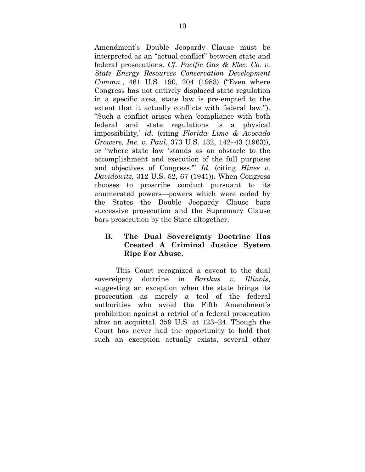Amendment's Double Jeopardy Clause must be interpreted as an "actual conflict" between state and federal prosecutions. *Cf*. *Pacific Gas & Elec. Co. v. State Energy Resources Conservation Development Commn.*, 461 U.S. 190, 204 (1983) ("Even where Congress has not entirely displaced state regulation in a specific area, state law is pre-empted to the extent that it actually conflicts with federal law."). "Such a conflict arises when 'compliance with both federal and state regulations is a physical impossibility,' *id*. (citing *Florida Lime & Avocado Growers, Inc. v. Paul*, 373 U.S. 132, 142–43 (1963)), or "where state law 'stands as an obstacle to the accomplishment and execution of the full purposes and objectives of Congress.'" *Id*. (citing *Hines v. Davidowitz*, 312 U.S. 52, 67 (1941)). When Congress chooses to proscribe conduct pursuant to its enumerated powers—powers which were ceded by the States—the Double Jeopardy Clause bars successive prosecution and the Supremacy Clause bars prosecution by the State altogether.

# **B. The Dual Sovereignty Doctrine Has Created A Criminal Justice System Ripe For Abuse.**

 This Court recognized a caveat to the dual sovereignty doctrine in *Bartkus v. Illinois*, suggesting an exception when the state brings its prosecution as merely a tool of the federal authorities who avoid the Fifth Amendment's prohibition against a retrial of a federal prosecution after an acquittal. 359 U.S. at 123–24. Though the Court has never had the opportunity to hold that such an exception actually exists, several other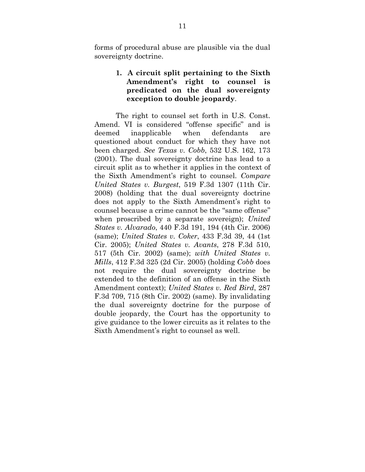forms of procedural abuse are plausible via the dual sovereignty doctrine.

# **1. A circuit split pertaining to the Sixth Amendment's right to counsel is predicated on the dual sovereignty exception to double jeopardy**.

 The right to counsel set forth in U.S. Const. Amend. VI is considered "offense specific" and is deemed inapplicable when defendants are questioned about conduct for which they have not been charged. *See Texas v. Cobb*, 532 U.S. 162, 173 (2001). The dual sovereignty doctrine has lead to a circuit split as to whether it applies in the context of the Sixth Amendment's right to counsel. *Compare United States v. Burgest*, 519 F.3d 1307 (11th Cir. 2008) (holding that the dual sovereignty doctrine does not apply to the Sixth Amendment's right to counsel because a crime cannot be the "same offense" when proscribed by a separate sovereign); *United States v. Alvarado*, 440 F.3d 191, 194 (4th Cir. 2006) (same); *United States v. Coker*, 433 F.3d 39, 44 (1st Cir. 2005); *United States v. Avants*, 278 F.3d 510, 517 (5th Cir. 2002) (same); *with United States v. Mills*, 412 F.3d 325 (2d Cir. 2005) (holding *Cobb* does not require the dual sovereignty doctrine be extended to the definition of an offense in the Sixth Amendment context); *United States v. Red Bird*, 287 F.3d 709, 715 (8th Cir. 2002) (same). By invalidating the dual sovereignty doctrine for the purpose of double jeopardy, the Court has the opportunity to give guidance to the lower circuits as it relates to the Sixth Amendment's right to counsel as well.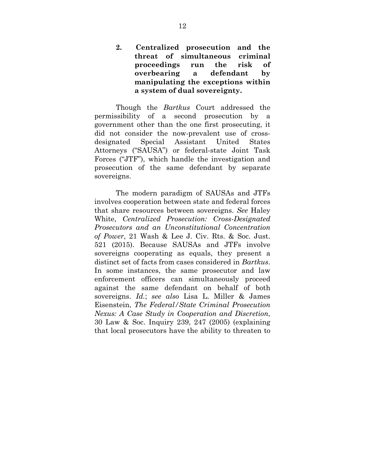**2. Centralized prosecution and the threat of simultaneous criminal proceedings run the risk of overbearing a defendant by manipulating the exceptions within a system of dual sovereignty.** 

 Though the *Bartkus* Court addressed the permissibility of a second prosecution by a government other than the one first prosecuting, it did not consider the now-prevalent use of crossdesignated Special Assistant United States Attorneys ("SAUSA") or federal-state Joint Task Forces ("JTF"), which handle the investigation and prosecution of the same defendant by separate sovereigns.

 The modern paradigm of SAUSAs and JTFs involves cooperation between state and federal forces that share resources between sovereigns. *See* Haley White, *Centralized Prosecution: Cross-Designated Prosecutors and an Unconstitutional Concentration of Power*, 21 Wash & Lee J. Civ. Rts. & Soc. Just. 521 (2015). Because SAUSAs and JTFs involve sovereigns cooperating as equals, they present a distinct set of facts from cases considered in *Bartkus*. In some instances, the same prosecutor and law enforcement officers can simultaneously proceed against the same defendant on behalf of both sovereigns. *Id.*; *see also* Lisa L. Miller & James Eisenstein, *The Federal/State Criminal Prosecution Nexus: A Case Study in Cooperation and Discretion*, 30 Law & Soc. Inquiry 239, 247 (2005) (explaining that local prosecutors have the ability to threaten to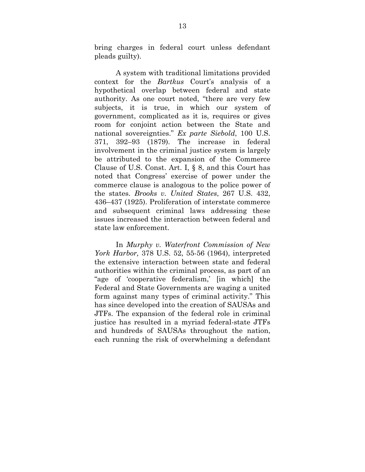bring charges in federal court unless defendant pleads guilty).

 A system with traditional limitations provided context for the *Bartkus* Court's analysis of a hypothetical overlap between federal and state authority. As one court noted, "there are very few subjects, it is true, in which our system of government, complicated as it is, requires or gives room for conjoint action between the State and national sovereignties." *Ex parte Siebold*, 100 U.S. 371, 392–93 (1879). The increase in federal involvement in the criminal justice system is largely be attributed to the expansion of the Commerce Clause of U.S. Const. Art. I, § 8, and this Court has noted that Congress' exercise of power under the commerce clause is analogous to the police power of the states. *Brooks v. United States*, 267 U.S. 432, 436–437 (1925). Proliferation of interstate commerce and subsequent criminal laws addressing these issues increased the interaction between federal and state law enforcement.

 In *Murphy v. Waterfront Commission of New York Harbor,* 378 U.S. 52, 55-56 (1964), interpreted the extensive interaction between state and federal authorities within the criminal process, as part of an "age of 'cooperative federalism,' [in which] the Federal and State Governments are waging a united form against many types of criminal activity." This has since developed into the creation of SAUSAs and JTFs. The expansion of the federal role in criminal justice has resulted in a myriad federal-state JTFs and hundreds of SAUSAs throughout the nation, each running the risk of overwhelming a defendant